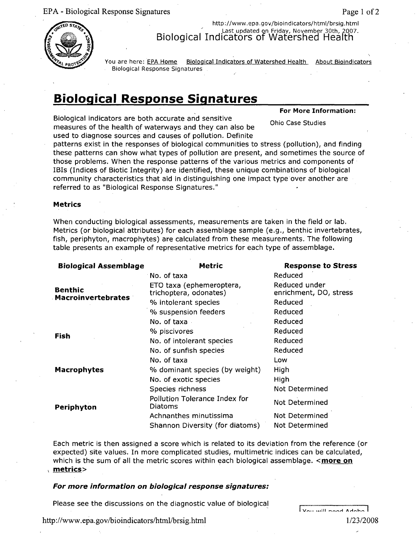EPA - Biological Response Signatures Page **I** of 2



http://www.epa.gov/bioindicators/html/brsig.html Last updated on Friday, November 30th, 2007. Biological Indicators of Watershed Health

You are here: EPA Home Biological Indicators of Watershed Health About Bioindicators Biological Response Signatures

# Biological Response Signatures

Biological indicators are both accurate and sensitive measures of the health of waterways and they can also be used to diagnose sources and causes of pollution. Definite

patterns exist in the responses of biological communities to stress (pollution), and finding these patterns can show what types of pollution are present, and sometimes the source of those problems. When the response patterns of the various metrics and components of IBIs (Indices of Biotic Integrity) are identified, these unique combinations of biological community characteristics that aid in distinguishing one impact type over another are referred to as "Biological Response Signatures."

#### **Metrics**

When conducting biological assessments, measurements are taken in the field or lab. Metrics (or biological attributes) for each assemblage sample (e.g., benthic invertebrates, fish, periphyton, macrophytes) are calculated from these measurements. The following table presents an example of representative metrics for each type of assemblage.

| <b>Biological Assemblage</b>                | <b>Metric</b>                                      | <b>Response to Stress</b>               |
|---------------------------------------------|----------------------------------------------------|-----------------------------------------|
| <b>Benthic</b><br><b>Macroinvertebrates</b> | No. of taxa                                        | Reduced                                 |
|                                             | ETO taxa (ephemeroptera,<br>trichoptera, odonates) | Reduced under<br>enrichment, DO, stress |
|                                             | % intolerant species                               | Reduced                                 |
|                                             | % suspension feeders                               | Reduced                                 |
| Fish                                        | No. of taxa                                        | Reduced                                 |
|                                             | % piscivores                                       | Reduced                                 |
|                                             | No. of intolerant species                          | Reduced                                 |
|                                             | No. of sunfish species                             | Reduced                                 |
|                                             | No. of taxa                                        | Low                                     |
| <b>Macrophytes</b>                          | % dominant species (by weight)                     | High                                    |
|                                             | No. of exotic species                              | High                                    |
| Periphyton                                  | Species richness                                   | <b>Not Determined</b>                   |
|                                             | Pollution Tolerance Index for<br>Diatoms           | <b>Not Determined</b>                   |
|                                             | Achnanthes minutissima                             | Not Determined                          |
|                                             | Shannon Diversity (for diatoms)                    | Not Determined                          |

Each metric is then assigned a score which is related to its deviation from the reference (or expected) site values. In more complicated studies, multimetric indices can be calculated, which is the sum of all the metric scores within each biological assemblage.  $\leq$  more on metrics>

#### *For more information on biological response signatures:*

Please see the discussions on the diagnostic value of biological

 $\sqrt{2}$ 

For More Information:

**Ohio Case Studies** 

http://www.epa.gov/bioindicators/html/brsig.html 1/23/2008